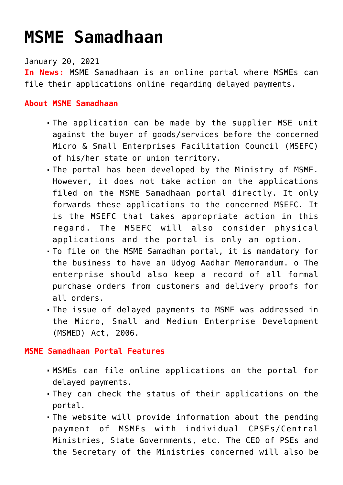## **[MSME Samadhaan](https://journalsofindia.com/msme-samadhaan/)**

January 20, 2021

**In News:** MSME Samadhaan is an online portal where MSMEs can file their applications online regarding delayed payments.

## **About MSME Samadhaan**

- The application can be made by the supplier MSE unit against the buyer of goods/services before the concerned Micro & Small Enterprises Facilitation Council (MSEFC) of his/her state or union territory.
- The portal has been developed by the Ministry of MSME. However, it does not take action on the applications filed on the MSME Samadhaan portal directly. It only forwards these applications to the concerned MSEFC. It is the MSEFC that takes appropriate action in this regard. The MSEFC will also consider physical applications and the portal is only an option.
- To file on the MSME Samadhan portal, it is mandatory for the business to have an Udyog Aadhar Memorandum. o The enterprise should also keep a record of all formal purchase orders from customers and delivery proofs for all orders.
- The issue of delayed payments to MSME was addressed in the Micro, Small and Medium Enterprise Development (MSMED) Act, 2006.

## **MSME Samadhaan Portal Features**

- MSMEs can file online applications on the portal for delayed payments.
- They can check the status of their applications on the portal.
- The website will provide information about the pending payment of MSMEs with individual CPSEs/Central Ministries, State Governments, etc. The CEO of PSEs and the Secretary of the Ministries concerned will also be